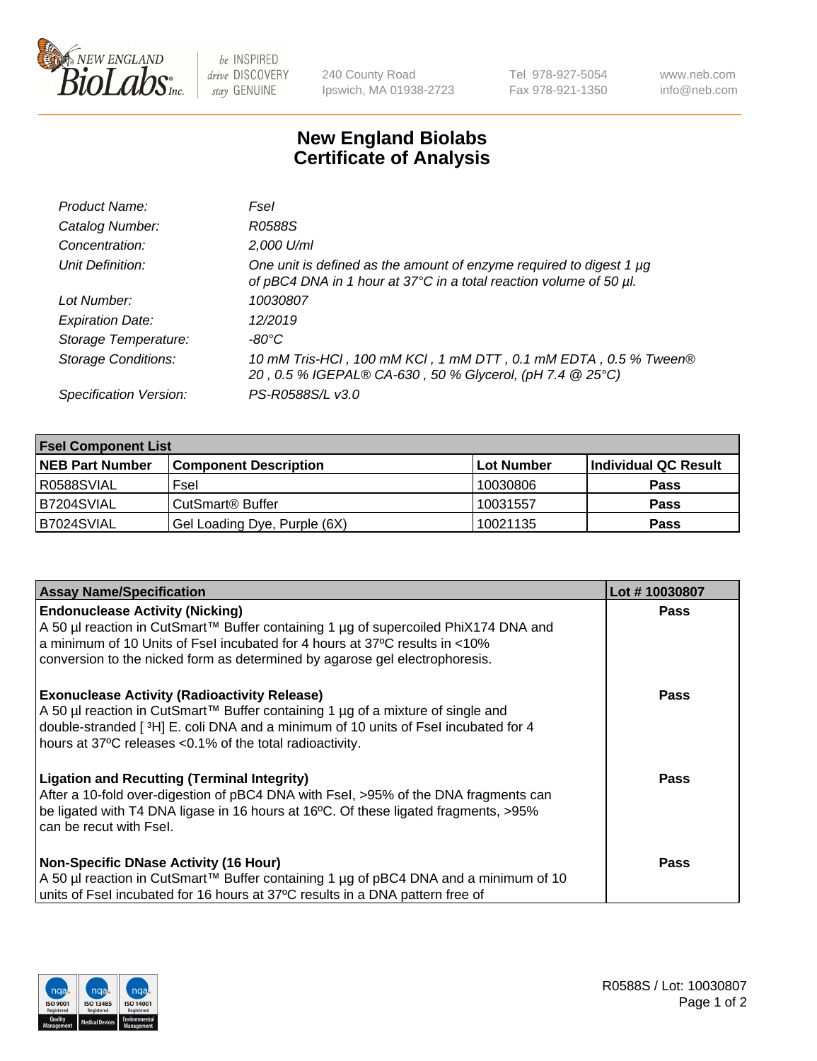

 $be$  INSPIRED drive DISCOVERY stay GENUINE

240 County Road Ipswich, MA 01938-2723 Tel 978-927-5054 Fax 978-921-1350 www.neb.com info@neb.com

## **New England Biolabs Certificate of Analysis**

| Product Name:              | Fsel                                                                                                                                           |
|----------------------------|------------------------------------------------------------------------------------------------------------------------------------------------|
| Catalog Number:            | R0588S                                                                                                                                         |
| Concentration:             | 2,000 U/ml                                                                                                                                     |
| Unit Definition:           | One unit is defined as the amount of enzyme required to digest 1 $\mu$ g<br>of pBC4 DNA in 1 hour at 37°C in a total reaction volume of 50 µl. |
| Lot Number:                | 10030807                                                                                                                                       |
| <b>Expiration Date:</b>    | 12/2019                                                                                                                                        |
| Storage Temperature:       | $-80^{\circ}$ C                                                                                                                                |
| <b>Storage Conditions:</b> | 10 mM Tris-HCl, 100 mM KCl, 1 mM DTT, 0.1 mM EDTA, 0.5 % Tween®<br>20, 0.5 % IGEPAL® CA-630, 50 % Glycerol, (pH 7.4 @ 25°C)                    |
| Specification Version:     | PS-R0588S/L v3.0                                                                                                                               |

| <b>Fsel Component List</b> |                              |            |                      |  |  |
|----------------------------|------------------------------|------------|----------------------|--|--|
| <b>NEB Part Number</b>     | <b>Component Description</b> | Lot Number | Individual QC Result |  |  |
| R0588SVIAL                 | Fsel                         | 10030806   | <b>Pass</b>          |  |  |
| B7204SVIAL                 | CutSmart <sup>®</sup> Buffer | 10031557   | <b>Pass</b>          |  |  |
| B7024SVIAL                 | Gel Loading Dye, Purple (6X) | 10021135   | <b>Pass</b>          |  |  |

| <b>Assay Name/Specification</b>                                                                                                                                                                                                                                                             | Lot #10030807 |
|---------------------------------------------------------------------------------------------------------------------------------------------------------------------------------------------------------------------------------------------------------------------------------------------|---------------|
| <b>Endonuclease Activity (Nicking)</b><br>A 50 µl reaction in CutSmart™ Buffer containing 1 µg of supercoiled PhiX174 DNA and<br>a minimum of 10 Units of Fsel incubated for 4 hours at 37°C results in <10%<br>conversion to the nicked form as determined by agarose gel electrophoresis. | <b>Pass</b>   |
| <b>Exonuclease Activity (Radioactivity Release)</b><br>  A 50 µl reaction in CutSmart™ Buffer containing 1 µg of a mixture of single and<br>double-stranded [3H] E. coli DNA and a minimum of 10 units of Fsel incubated for 4<br>hours at 37°C releases <0.1% of the total radioactivity.  | <b>Pass</b>   |
| <b>Ligation and Recutting (Terminal Integrity)</b><br>After a 10-fold over-digestion of pBC4 DNA with Fsel, >95% of the DNA fragments can<br>be ligated with T4 DNA ligase in 16 hours at 16°C. Of these ligated fragments, >95%<br>can be recut with Fsel.                                 | Pass          |
| <b>Non-Specific DNase Activity (16 Hour)</b><br>  A 50 µl reaction in CutSmart™ Buffer containing 1 µg of pBC4 DNA and a minimum of 10<br>units of Fsel incubated for 16 hours at 37°C results in a DNA pattern free of                                                                     | <b>Pass</b>   |